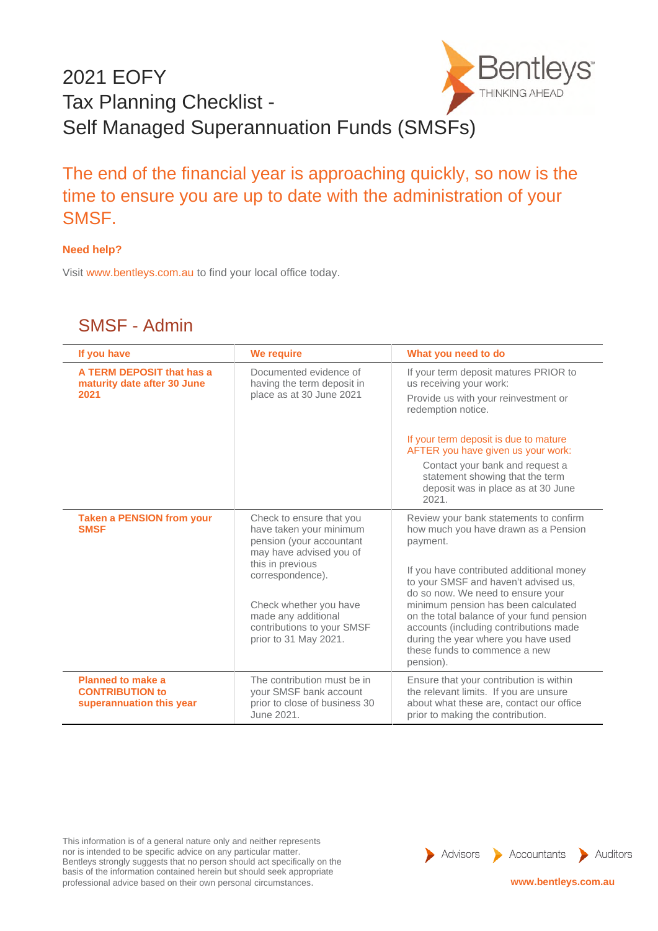## 2021 EOFY THINKING AHEAD Tax Planning Checklist - Self Managed Superannuation Funds (SMSFs)



## **Need help?**

Visit www.bentleys.com.au to find your local office today.

## SMSF - Admin

| If you have                                                                    | We require                                                                                                                                                                                                                                                 | What you need to do                                                                                                                                                                                                                                                                                                                                                                                                                             |
|--------------------------------------------------------------------------------|------------------------------------------------------------------------------------------------------------------------------------------------------------------------------------------------------------------------------------------------------------|-------------------------------------------------------------------------------------------------------------------------------------------------------------------------------------------------------------------------------------------------------------------------------------------------------------------------------------------------------------------------------------------------------------------------------------------------|
| A TERM DEPOSIT that has a<br>maturity date after 30 June<br>2021               | Documented evidence of<br>having the term deposit in<br>place as at 30 June 2021                                                                                                                                                                           | If your term deposit matures PRIOR to<br>us receiving your work:<br>Provide us with your reinvestment or<br>redemption notice.<br>If your term deposit is due to mature<br>AFTER you have given us your work:<br>Contact your bank and request a<br>statement showing that the term<br>deposit was in place as at 30 June                                                                                                                       |
| <b>Taken a PENSION from your</b><br><b>SMSF</b>                                | Check to ensure that you<br>have taken your minimum<br>pension (your accountant<br>may have advised you of<br>this in previous<br>correspondence).<br>Check whether you have<br>made any additional<br>contributions to your SMSF<br>prior to 31 May 2021. | 2021.<br>Review your bank statements to confirm<br>how much you have drawn as a Pension<br>payment.<br>If you have contributed additional money<br>to your SMSF and haven't advised us,<br>do so now. We need to ensure your<br>minimum pension has been calculated<br>on the total balance of your fund pension<br>accounts (including contributions made<br>during the year where you have used<br>these funds to commence a new<br>pension). |
| <b>Planned to make a</b><br><b>CONTRIBUTION to</b><br>superannuation this year | The contribution must be in<br>your SMSF bank account<br>prior to close of business 30<br>June 2021.                                                                                                                                                       | Ensure that your contribution is within<br>the relevant limits. If you are unsure<br>about what these are, contact our office<br>prior to making the contribution.                                                                                                                                                                                                                                                                              |

This information is of a general nature only and neither represents nor is intended to be specific advice on any particular matter. Bentleys strongly suggests that no person should act specifically on the basis of the information contained herein but should seek appropriate professional advice based on their own personal circumstances. **www.bentleys.com.au** 

Advisors Accountants Auditors

/S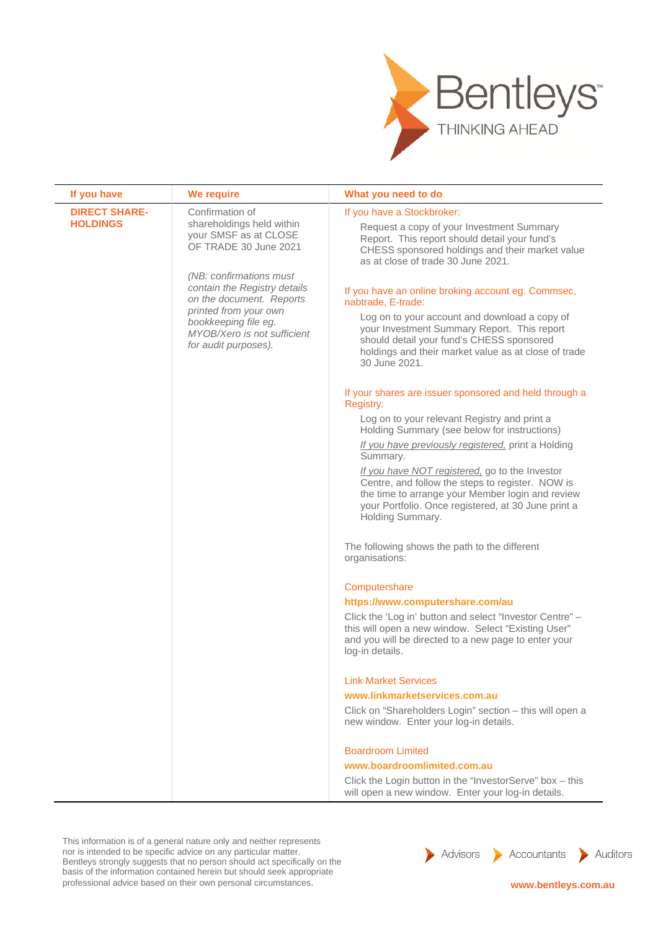

| If you have                             | We require                                                                                           | What you need to do                                                                                                                                                                                                               |
|-----------------------------------------|------------------------------------------------------------------------------------------------------|-----------------------------------------------------------------------------------------------------------------------------------------------------------------------------------------------------------------------------------|
| <b>DIRECT SHARE-</b><br><b>HOLDINGS</b> | Confirmation of<br>shareholdings held within<br>your SMSF as at CLOSE<br>OF TRADE 30 June 2021       | If you have a Stockbroker:<br>Request a copy of your Investment Summary<br>Report. This report should detail your fund's<br>CHESS sponsored holdings and their market value<br>as at close of trade 30 June 2021.                 |
|                                         | (NB: confirmations must<br>contain the Registry details<br>on the document. Reports                  | If you have an online broking account eg. Commsec,<br>nabtrade, E-trade:                                                                                                                                                          |
|                                         | printed from your own<br>bookkeeping file eg.<br>MYOB/Xero is not sufficient<br>for audit purposes). | Log on to your account and download a copy of<br>your Investment Summary Report. This report<br>should detail your fund's CHESS sponsored<br>holdings and their market value as at close of trade<br>30 June 2021.                |
|                                         |                                                                                                      | If your shares are issuer sponsored and held through a<br>Registry:                                                                                                                                                               |
|                                         |                                                                                                      | Log on to your relevant Registry and print a<br>Holding Summary (see below for instructions)                                                                                                                                      |
|                                         |                                                                                                      | If you have previously registered, print a Holding<br>Summary.                                                                                                                                                                    |
|                                         |                                                                                                      | If you have NOT registered, go to the Investor<br>Centre, and follow the steps to register. NOW is<br>the time to arrange your Member login and review<br>your Portfolio. Once registered, at 30 June print a<br>Holding Summary. |
|                                         |                                                                                                      | The following shows the path to the different<br>organisations:                                                                                                                                                                   |
|                                         |                                                                                                      | Computershare                                                                                                                                                                                                                     |
|                                         |                                                                                                      | https://www.computershare.com/au                                                                                                                                                                                                  |
|                                         |                                                                                                      | Click the 'Log in' button and select "Investor Centre" -<br>this will open a new window. Select "Existing User"<br>and you will be directed to a new page to enter your<br>log-in details.                                        |
|                                         |                                                                                                      | <b>Link Market Services</b>                                                                                                                                                                                                       |
|                                         |                                                                                                      | www.linkmarketservices.com.au                                                                                                                                                                                                     |
|                                         |                                                                                                      | Click on "Shareholders Login" section - this will open a<br>new window. Enter your log-in details.                                                                                                                                |
|                                         |                                                                                                      | <b>Boardroom Limited</b>                                                                                                                                                                                                          |
|                                         |                                                                                                      | www.boardroomlimited.com.au                                                                                                                                                                                                       |
|                                         |                                                                                                      | Click the Login button in the "InvestorServe" box - this<br>will open a new window. Enter your log-in details.                                                                                                                    |

This information is of a general nature only and neither represents nor is intended to be specific advice on any particular matter. Bentleys strongly suggests that no person should act specifically on the basis of the information contained herein but should seek appropriate professional advice based on their own personal circumstances. **www.bentleys.com.au www.bentleys.com.au** 

Advisors Accountants Auditors